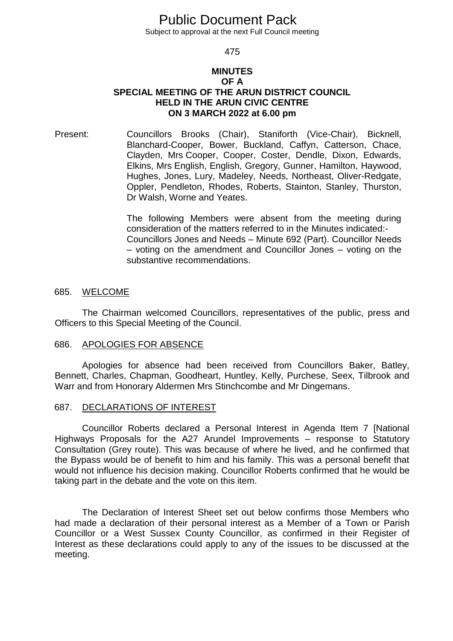# Public Document Pack

Subject to approval at the next Full Council meeting

#### 475

### **MINUTES OF A SPECIAL MEETING OF THE ARUN DISTRICT COUNCIL HELD IN THE ARUN CIVIC CENTRE ON 3 MARCH 2022 at 6.00 pm**

Present: Councillors Brooks (Chair), Staniforth (Vice-Chair), Bicknell, Blanchard-Cooper, Bower, Buckland, Caffyn, Catterson, Chace, Clayden, Mrs Cooper, Cooper, Coster, Dendle, Dixon, Edwards, Elkins, Mrs English, English, Gregory, Gunner, Hamilton, Haywood, Hughes, Jones, Lury, Madeley, Needs, Northeast, Oliver-Redgate, Oppler, Pendleton, Rhodes, Roberts, Stainton, Stanley, Thurston, Dr Walsh, Worne and Yeates.

> The following Members were absent from the meeting during consideration of the matters referred to in the Minutes indicated:- Councillors Jones and Needs – Minute 692 (Part). Councillor Needs – voting on the amendment and Councillor Jones – voting on the substantive recommendations.

### 685. WELCOME

The Chairman welcomed Councillors, representatives of the public, press and Officers to this Special Meeting of the Council.

#### 686. APOLOGIES FOR ABSENCE

Apologies for absence had been received from Councillors Baker, Batley, Bennett, Charles, Chapman, Goodheart, Huntley, Kelly, Purchese, Seex, Tilbrook and Warr and from Honorary Aldermen Mrs Stinchcombe and Mr Dingemans.

### 687. DECLARATIONS OF INTEREST

Councillor Roberts declared a Personal Interest in Agenda Item 7 [National Highways Proposals for the A27 Arundel Improvements – response to Statutory Consultation (Grey route). This was because of where he lived, and he confirmed that the Bypass would be of benefit to him and his family. This was a personal benefit that would not influence his decision making. Councillor Roberts confirmed that he would be taking part in the debate and the vote on this item.

The Declaration of Interest Sheet set out below confirms those Members who had made a declaration of their personal interest as a Member of a Town or Parish Councillor or a West Sussex County Councillor, as confirmed in their Register of Interest as these declarations could apply to any of the issues to be discussed at the meeting.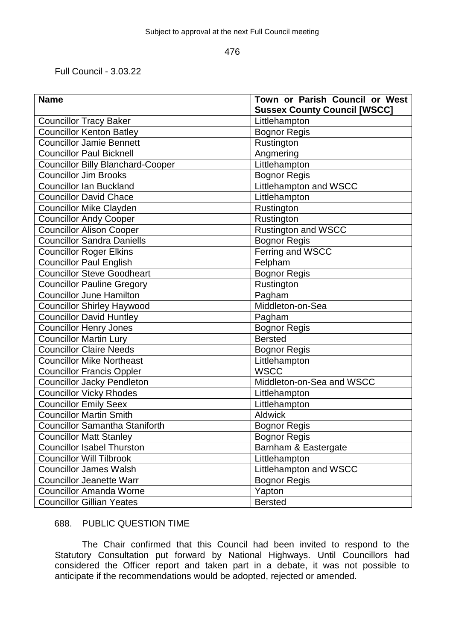Full Council - 3.03.22

| <b>Name</b>                              | Town or Parish Council or West      |
|------------------------------------------|-------------------------------------|
|                                          | <b>Sussex County Council [WSCC]</b> |
| <b>Councillor Tracy Baker</b>            | Littlehampton                       |
| <b>Councillor Kenton Batley</b>          | <b>Bognor Regis</b>                 |
| <b>Councillor Jamie Bennett</b>          | Rustington                          |
| <b>Councillor Paul Bicknell</b>          | Angmering                           |
| <b>Councillor Billy Blanchard-Cooper</b> | Littlehampton                       |
| <b>Councillor Jim Brooks</b>             | Bognor Regis                        |
| <b>Councillor Ian Buckland</b>           | Littlehampton and WSCC              |
| <b>Councillor David Chace</b>            | Littlehampton                       |
| <b>Councillor Mike Clayden</b>           | Rustington                          |
| <b>Councillor Andy Cooper</b>            | Rustington                          |
| <b>Councillor Alison Cooper</b>          | <b>Rustington and WSCC</b>          |
| <b>Councillor Sandra Daniells</b>        | <b>Bognor Regis</b>                 |
| <b>Councillor Roger Elkins</b>           | Ferring and WSCC                    |
| <b>Councillor Paul English</b>           | Felpham                             |
| <b>Councillor Steve Goodheart</b>        | <b>Bognor Regis</b>                 |
| <b>Councillor Pauline Gregory</b>        | Rustington                          |
| <b>Councillor June Hamilton</b>          | Pagham                              |
| <b>Councillor Shirley Haywood</b>        | Middleton-on-Sea                    |
| <b>Councillor David Huntley</b>          | Pagham                              |
| <b>Councillor Henry Jones</b>            | <b>Bognor Regis</b>                 |
| <b>Councillor Martin Lury</b>            | <b>Bersted</b>                      |
| <b>Councillor Claire Needs</b>           | <b>Bognor Regis</b>                 |
| <b>Councillor Mike Northeast</b>         | Littlehampton                       |
| <b>Councillor Francis Oppler</b>         | <b>WSCC</b>                         |
| <b>Councillor Jacky Pendleton</b>        | Middleton-on-Sea and WSCC           |
| <b>Councillor Vicky Rhodes</b>           | Littlehampton                       |
| <b>Councillor Emily Seex</b>             | Littlehampton                       |
| <b>Councillor Martin Smith</b>           | <b>Aldwick</b>                      |
| <b>Councillor Samantha Staniforth</b>    | <b>Bognor Regis</b>                 |
| <b>Councillor Matt Stanley</b>           | <b>Bognor Regis</b>                 |
| <b>Councillor Isabel Thurston</b>        | Barnham & Eastergate                |
| <b>Councillor Will Tilbrook</b>          | Littlehampton                       |
| <b>Councillor James Walsh</b>            | Littlehampton and WSCC              |
| <b>Councillor Jeanette Warr</b>          | <b>Bognor Regis</b>                 |
| <b>Councillor Amanda Worne</b>           | Yapton                              |
| <b>Councillor Gillian Yeates</b>         | <b>Bersted</b>                      |

# 688. PUBLIC QUESTION TIME

The Chair confirmed that this Council had been invited to respond to the Statutory Consultation put forward by National Highways. Until Councillors had considered the Officer report and taken part in a debate, it was not possible to anticipate if the recommendations would be adopted, rejected or amended.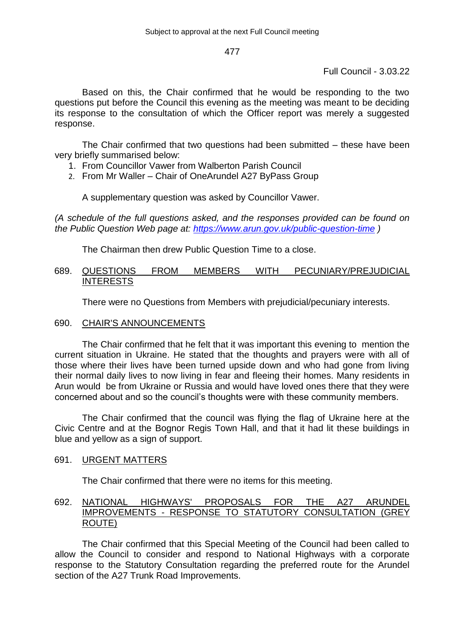Full Council - 3.03.22

Based on this, the Chair confirmed that he would be responding to the two questions put before the Council this evening as the meeting was meant to be deciding its response to the consultation of which the Officer report was merely a suggested response.

The Chair confirmed that two questions had been submitted – these have been very briefly summarised below:

- 1. From Councillor Vawer from Walberton Parish Council
- 2. From Mr Waller Chair of OneArundel A27 ByPass Group

A supplementary question was asked by Councillor Vawer.

*(A schedule of the full questions asked, and the responses provided can be found on the Public Question Web page at:<https://www.arun.gov.uk/public-question-time> )*

The Chairman then drew Public Question Time to a close.

## 689. QUESTIONS FROM MEMBERS WITH PECUNIARY/PREJUDICIAL **INTERESTS**

There were no Questions from Members with prejudicial/pecuniary interests.

# 690. CHAIR'S ANNOUNCEMENTS

The Chair confirmed that he felt that it was important this evening to mention the current situation in Ukraine. He stated that the thoughts and prayers were with all of those where their lives have been turned upside down and who had gone from living their normal daily lives to now living in fear and fleeing their homes. Many residents in Arun would be from Ukraine or Russia and would have loved ones there that they were concerned about and so the council's thoughts were with these community members.

The Chair confirmed that the council was flying the flag of Ukraine here at the Civic Centre and at the Bognor Regis Town Hall, and that it had lit these buildings in blue and yellow as a sign of support.

# 691. URGENT MATTERS

The Chair confirmed that there were no items for this meeting.

# 692. NATIONAL HIGHWAYS' PROPOSALS FOR THE A27 ARUNDEL IMPROVEMENTS - RESPONSE TO STATUTORY CONSULTATION (GREY ROUTE)

The Chair confirmed that this Special Meeting of the Council had been called to allow the Council to consider and respond to National Highways with a corporate response to the Statutory Consultation regarding the preferred route for the Arundel section of the A27 Trunk Road Improvements.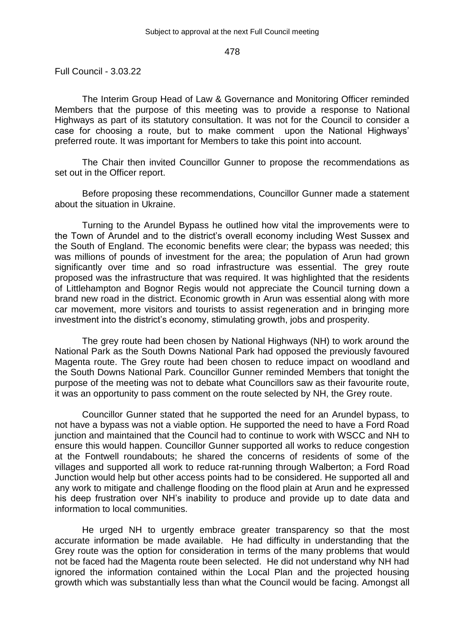Full Council - 3.03.22

The Interim Group Head of Law & Governance and Monitoring Officer reminded Members that the purpose of this meeting was to provide a response to National Highways as part of its statutory consultation. It was not for the Council to consider a case for choosing a route, but to make comment upon the National Highways' preferred route. It was important for Members to take this point into account.

The Chair then invited Councillor Gunner to propose the recommendations as set out in the Officer report.

Before proposing these recommendations, Councillor Gunner made a statement about the situation in Ukraine.

Turning to the Arundel Bypass he outlined how vital the improvements were to the Town of Arundel and to the district's overall economy including West Sussex and the South of England. The economic benefits were clear; the bypass was needed; this was millions of pounds of investment for the area; the population of Arun had grown significantly over time and so road infrastructure was essential. The grey route proposed was the infrastructure that was required. It was highlighted that the residents of Littlehampton and Bognor Regis would not appreciate the Council turning down a brand new road in the district. Economic growth in Arun was essential along with more car movement, more visitors and tourists to assist regeneration and in bringing more investment into the district's economy, stimulating growth, jobs and prosperity.

The grey route had been chosen by National Highways (NH) to work around the National Park as the South Downs National Park had opposed the previously favoured Magenta route. The Grey route had been chosen to reduce impact on woodland and the South Downs National Park. Councillor Gunner reminded Members that tonight the purpose of the meeting was not to debate what Councillors saw as their favourite route, it was an opportunity to pass comment on the route selected by NH, the Grey route.

Councillor Gunner stated that he supported the need for an Arundel bypass, to not have a bypass was not a viable option. He supported the need to have a Ford Road junction and maintained that the Council had to continue to work with WSCC and NH to ensure this would happen. Councillor Gunner supported all works to reduce congestion at the Fontwell roundabouts; he shared the concerns of residents of some of the villages and supported all work to reduce rat-running through Walberton; a Ford Road Junction would help but other access points had to be considered. He supported all and any work to mitigate and challenge flooding on the flood plain at Arun and he expressed his deep frustration over NH's inability to produce and provide up to date data and information to local communities.

He urged NH to urgently embrace greater transparency so that the most accurate information be made available. He had difficulty in understanding that the Grey route was the option for consideration in terms of the many problems that would not be faced had the Magenta route been selected. He did not understand why NH had ignored the information contained within the Local Plan and the projected housing growth which was substantially less than what the Council would be facing. Amongst all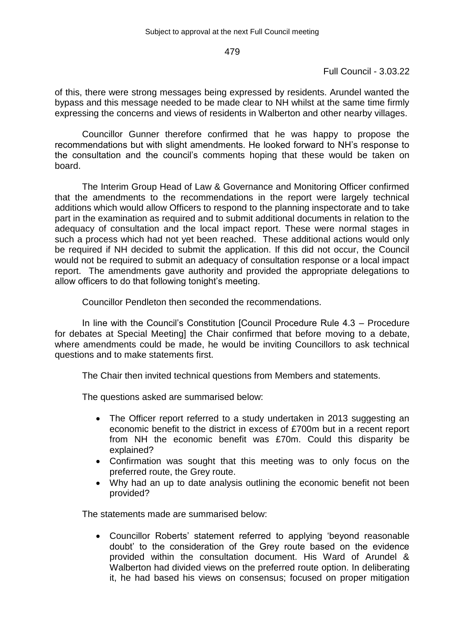# Full Council - 3.03.22

of this, there were strong messages being expressed by residents. Arundel wanted the bypass and this message needed to be made clear to NH whilst at the same time firmly expressing the concerns and views of residents in Walberton and other nearby villages.

Councillor Gunner therefore confirmed that he was happy to propose the recommendations but with slight amendments. He looked forward to NH's response to the consultation and the council's comments hoping that these would be taken on board.

The Interim Group Head of Law & Governance and Monitoring Officer confirmed that the amendments to the recommendations in the report were largely technical additions which would allow Officers to respond to the planning inspectorate and to take part in the examination as required and to submit additional documents in relation to the adequacy of consultation and the local impact report. These were normal stages in such a process which had not yet been reached. These additional actions would only be required if NH decided to submit the application. If this did not occur, the Council would not be required to submit an adequacy of consultation response or a local impact report. The amendments gave authority and provided the appropriate delegations to allow officers to do that following tonight's meeting.

Councillor Pendleton then seconded the recommendations.

In line with the Council's Constitution [Council Procedure Rule 4.3 – Procedure for debates at Special Meeting] the Chair confirmed that before moving to a debate, where amendments could be made, he would be inviting Councillors to ask technical questions and to make statements first.

The Chair then invited technical questions from Members and statements.

The questions asked are summarised below:

- The Officer report referred to a study undertaken in 2013 suggesting an economic benefit to the district in excess of £700m but in a recent report from NH the economic benefit was £70m. Could this disparity be explained?
- Confirmation was sought that this meeting was to only focus on the preferred route, the Grey route.
- Why had an up to date analysis outlining the economic benefit not been provided?

The statements made are summarised below:

 Councillor Roberts' statement referred to applying 'beyond reasonable doubt' to the consideration of the Grey route based on the evidence provided within the consultation document. His Ward of Arundel & Walberton had divided views on the preferred route option. In deliberating it, he had based his views on consensus; focused on proper mitigation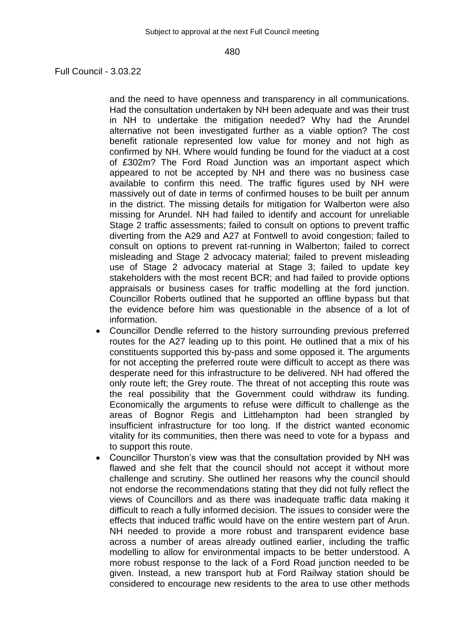Full Council - 3.03.22

and the need to have openness and transparency in all communications. Had the consultation undertaken by NH been adequate and was their trust in NH to undertake the mitigation needed? Why had the Arundel alternative not been investigated further as a viable option? The cost benefit rationale represented low value for money and not high as confirmed by NH. Where would funding be found for the viaduct at a cost of £302m? The Ford Road Junction was an important aspect which appeared to not be accepted by NH and there was no business case available to confirm this need. The traffic figures used by NH were massively out of date in terms of confirmed houses to be built per annum in the district. The missing details for mitigation for Walberton were also missing for Arundel. NH had failed to identify and account for unreliable Stage 2 traffic assessments; failed to consult on options to prevent traffic diverting from the A29 and A27 at Fontwell to avoid congestion; failed to consult on options to prevent rat-running in Walberton; failed to correct misleading and Stage 2 advocacy material; failed to prevent misleading use of Stage 2 advocacy material at Stage 3; failed to update key stakeholders with the most recent BCR; and had failed to provide options appraisals or business cases for traffic modelling at the ford junction. Councillor Roberts outlined that he supported an offline bypass but that the evidence before him was questionable in the absence of a lot of information.

- Councillor Dendle referred to the history surrounding previous preferred routes for the A27 leading up to this point. He outlined that a mix of his constituents supported this by-pass and some opposed it. The arguments for not accepting the preferred route were difficult to accept as there was desperate need for this infrastructure to be delivered. NH had offered the only route left; the Grey route. The threat of not accepting this route was the real possibility that the Government could withdraw its funding. Economically the arguments to refuse were difficult to challenge as the areas of Bognor Regis and Littlehampton had been strangled by insufficient infrastructure for too long. If the district wanted economic vitality for its communities, then there was need to vote for a bypass and to support this route.
- Councillor Thurston's view was that the consultation provided by NH was flawed and she felt that the council should not accept it without more challenge and scrutiny. She outlined her reasons why the council should not endorse the recommendations stating that they did not fully reflect the views of Councillors and as there was inadequate traffic data making it difficult to reach a fully informed decision. The issues to consider were the effects that induced traffic would have on the entire western part of Arun. NH needed to provide a more robust and transparent evidence base across a number of areas already outlined earlier, including the traffic modelling to allow for environmental impacts to be better understood. A more robust response to the lack of a Ford Road junction needed to be given. Instead, a new transport hub at Ford Railway station should be considered to encourage new residents to the area to use other methods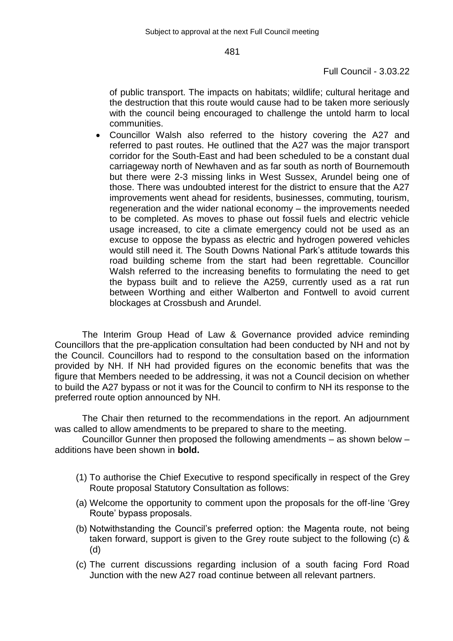# Full Council - 3.03.22

of public transport. The impacts on habitats; wildlife; cultural heritage and the destruction that this route would cause had to be taken more seriously with the council being encouraged to challenge the untold harm to local communities.

 Councillor Walsh also referred to the history covering the A27 and referred to past routes. He outlined that the A27 was the major transport corridor for the South-East and had been scheduled to be a constant dual carriageway north of Newhaven and as far south as north of Bournemouth but there were 2-3 missing links in West Sussex, Arundel being one of those. There was undoubted interest for the district to ensure that the A27 improvements went ahead for residents, businesses, commuting, tourism, regeneration and the wider national economy – the improvements needed to be completed. As moves to phase out fossil fuels and electric vehicle usage increased, to cite a climate emergency could not be used as an excuse to oppose the bypass as electric and hydrogen powered vehicles would still need it. The South Downs National Park's attitude towards this road building scheme from the start had been regrettable. Councillor Walsh referred to the increasing benefits to formulating the need to get the bypass built and to relieve the A259, currently used as a rat run between Worthing and either Walberton and Fontwell to avoid current blockages at Crossbush and Arundel.

The Interim Group Head of Law & Governance provided advice reminding Councillors that the pre-application consultation had been conducted by NH and not by the Council. Councillors had to respond to the consultation based on the information provided by NH. If NH had provided figures on the economic benefits that was the figure that Members needed to be addressing, it was not a Council decision on whether to build the A27 bypass or not it was for the Council to confirm to NH its response to the preferred route option announced by NH.

The Chair then returned to the recommendations in the report. An adjournment was called to allow amendments to be prepared to share to the meeting.

Councillor Gunner then proposed the following amendments – as shown below – additions have been shown in **bold.**

- (1) To authorise the Chief Executive to respond specifically in respect of the Grey Route proposal Statutory Consultation as follows:
- (a) Welcome the opportunity to comment upon the proposals for the off-line 'Grey Route' bypass proposals.
- (b) Notwithstanding the Council's preferred option: the Magenta route, not being taken forward, support is given to the Grey route subject to the following (c) & (d)
- (c) The current discussions regarding inclusion of a south facing Ford Road Junction with the new A27 road continue between all relevant partners.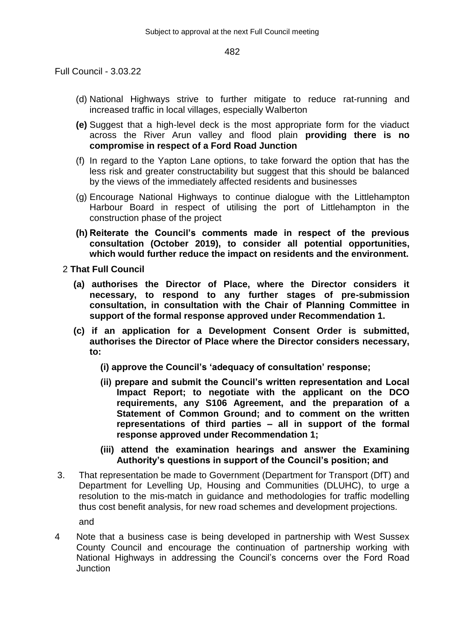Full Council - 3.03.22

- (d) National Highways strive to further mitigate to reduce rat-running and increased traffic in local villages, especially Walberton
- **(e)** Suggest that a high-level deck is the most appropriate form for the viaduct across the River Arun valley and flood plain **providing there is no compromise in respect of a Ford Road Junction**
- (f) In regard to the Yapton Lane options, to take forward the option that has the less risk and greater constructability but suggest that this should be balanced by the views of the immediately affected residents and businesses
- (g) Encourage National Highways to continue dialogue with the Littlehampton Harbour Board in respect of utilising the port of Littlehampton in the construction phase of the project
- **(h) Reiterate the Council's comments made in respect of the previous consultation (October 2019), to consider all potential opportunities, which would further reduce the impact on residents and the environment.**

2 **That Full Council**

- **(a) authorises the Director of Place, where the Director considers it necessary, to respond to any further stages of pre-submission consultation, in consultation with the Chair of Planning Committee in support of the formal response approved under Recommendation 1.**
- **(c) if an application for a Development Consent Order is submitted, authorises the Director of Place where the Director considers necessary, to:**
	- **(i) approve the Council's 'adequacy of consultation' response;**
	- **(ii) prepare and submit the Council's written representation and Local Impact Report; to negotiate with the applicant on the DCO requirements, any S106 Agreement, and the preparation of a Statement of Common Ground; and to comment on the written representations of third parties – all in support of the formal response approved under Recommendation 1;**
	- **(iii) attend the examination hearings and answer the Examining Authority's questions in support of the Council's position; and**
- 3. That representation be made to Government (Department for Transport (DfT) and Department for Levelling Up, Housing and Communities (DLUHC), to urge a resolution to the mis-match in guidance and methodologies for traffic modelling thus cost benefit analysis, for new road schemes and development projections. and
	-
- 4 Note that a business case is being developed in partnership with West Sussex County Council and encourage the continuation of partnership working with National Highways in addressing the Council's concerns over the Ford Road **Junction**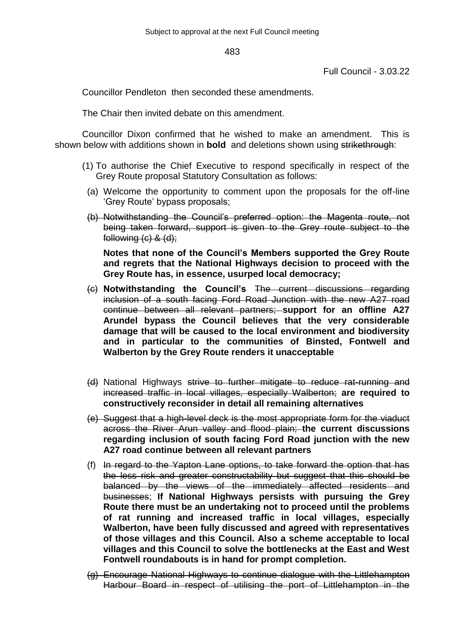Full Council - 3.03.22

Councillor Pendleton then seconded these amendments.

The Chair then invited debate on this amendment.

Councillor Dixon confirmed that he wished to make an amendment. This is shown below with additions shown in **bold** and deletions shown using strikethrough:

- (1) To authorise the Chief Executive to respond specifically in respect of the Grey Route proposal Statutory Consultation as follows:
	- (a) Welcome the opportunity to comment upon the proposals for the off-line 'Grey Route' bypass proposals;
	- (b) Notwithstanding the Council's preferred option: the Magenta route, not being taken forward, support is given to the Grey route subject to the following (c) & (d);

**Notes that none of the Council's Members supported the Grey Route and regrets that the National Highways decision to proceed with the Grey Route has, in essence, usurped local democracy;**

- (c) **Notwithstanding the Council's** The current discussions regarding inclusion of a south facing Ford Road Junction with the new A27 road continue between all relevant partners; **support for an offline A27 Arundel bypass the Council believes that the very considerable damage that will be caused to the local environment and biodiversity and in particular to the communities of Binsted, Fontwell and Walberton by the Grey Route renders it unacceptable**
- (d) National Highways strive to further mitigate to reduce rat-running and increased traffic in local villages, especially Walberton; **are required to constructively reconsider in detail all remaining alternatives**
- (e) Suggest that a high-level deck is the most appropriate form for the viaduct across the River Arun valley and flood plain; **the current discussions regarding inclusion of south facing Ford Road junction with the new A27 road continue between all relevant partners**
- (f) In regard to the Yapton Lane options, to take forward the option that has the less risk and greater constructability but suggest that this should be balanced by the views of the immediately affected residents and businesses; **If National Highways persists with pursuing the Grey Route there must be an undertaking not to proceed until the problems of rat running and increased traffic in local villages, especially Walberton, have been fully discussed and agreed with representatives of those villages and this Council. Also a scheme acceptable to local villages and this Council to solve the bottlenecks at the East and West Fontwell roundabouts is in hand for prompt completion.**
- (g) Encourage National Highways to continue dialogue with the Littlehampton Harbour Board in respect of utilising the port of Littlehampton in the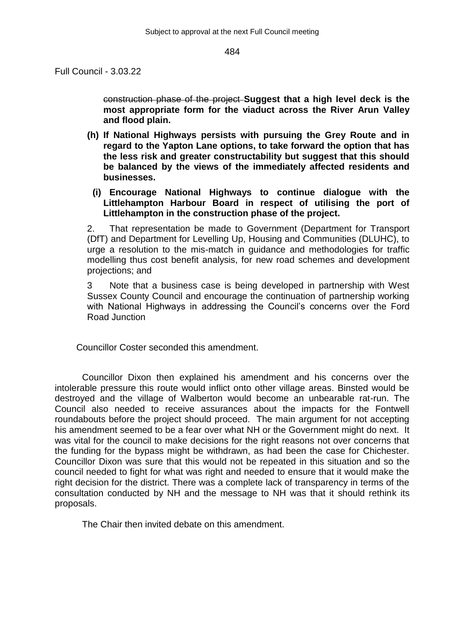Full Council - 3.03.22

construction phase of the project **Suggest that a high level deck is the most appropriate form for the viaduct across the River Arun Valley and flood plain.**

- **(h) If National Highways persists with pursuing the Grey Route and in regard to the Yapton Lane options, to take forward the option that has the less risk and greater constructability but suggest that this should be balanced by the views of the immediately affected residents and businesses.**
	- **(i) Encourage National Highways to continue dialogue with the Littlehampton Harbour Board in respect of utilising the port of Littlehampton in the construction phase of the project.**

2. That representation be made to Government (Department for Transport (DfT) and Department for Levelling Up, Housing and Communities (DLUHC), to urge a resolution to the mis-match in guidance and methodologies for traffic modelling thus cost benefit analysis, for new road schemes and development projections; and

3 Note that a business case is being developed in partnership with West Sussex County Council and encourage the continuation of partnership working with National Highways in addressing the Council's concerns over the Ford Road Junction

Councillor Coster seconded this amendment.

Councillor Dixon then explained his amendment and his concerns over the intolerable pressure this route would inflict onto other village areas. Binsted would be destroyed and the village of Walberton would become an unbearable rat-run. The Council also needed to receive assurances about the impacts for the Fontwell roundabouts before the project should proceed. The main argument for not accepting his amendment seemed to be a fear over what NH or the Government might do next. It was vital for the council to make decisions for the right reasons not over concerns that the funding for the bypass might be withdrawn, as had been the case for Chichester. Councillor Dixon was sure that this would not be repeated in this situation and so the council needed to fight for what was right and needed to ensure that it would make the right decision for the district. There was a complete lack of transparency in terms of the consultation conducted by NH and the message to NH was that it should rethink its proposals.

The Chair then invited debate on this amendment.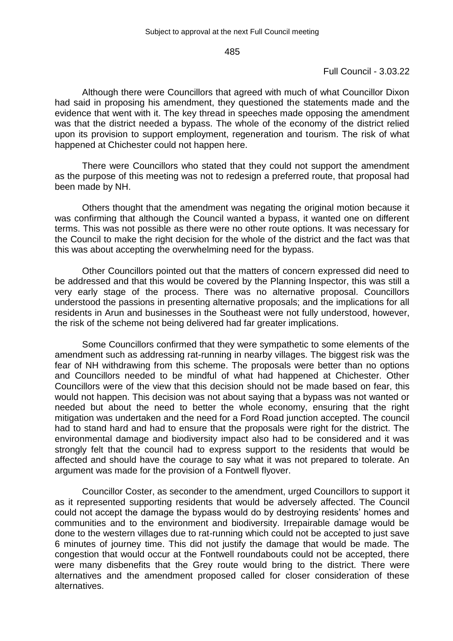### Full Council - 3.03.22

Although there were Councillors that agreed with much of what Councillor Dixon had said in proposing his amendment, they questioned the statements made and the evidence that went with it. The key thread in speeches made opposing the amendment was that the district needed a bypass. The whole of the economy of the district relied upon its provision to support employment, regeneration and tourism. The risk of what happened at Chichester could not happen here.

There were Councillors who stated that they could not support the amendment as the purpose of this meeting was not to redesign a preferred route, that proposal had been made by NH.

Others thought that the amendment was negating the original motion because it was confirming that although the Council wanted a bypass, it wanted one on different terms. This was not possible as there were no other route options. It was necessary for the Council to make the right decision for the whole of the district and the fact was that this was about accepting the overwhelming need for the bypass.

Other Councillors pointed out that the matters of concern expressed did need to be addressed and that this would be covered by the Planning Inspector, this was still a very early stage of the process. There was no alternative proposal. Councillors understood the passions in presenting alternative proposals; and the implications for all residents in Arun and businesses in the Southeast were not fully understood, however, the risk of the scheme not being delivered had far greater implications.

Some Councillors confirmed that they were sympathetic to some elements of the amendment such as addressing rat-running in nearby villages. The biggest risk was the fear of NH withdrawing from this scheme. The proposals were better than no options and Councillors needed to be mindful of what had happened at Chichester. Other Councillors were of the view that this decision should not be made based on fear, this would not happen. This decision was not about saying that a bypass was not wanted or needed but about the need to better the whole economy, ensuring that the right mitigation was undertaken and the need for a Ford Road junction accepted. The council had to stand hard and had to ensure that the proposals were right for the district. The environmental damage and biodiversity impact also had to be considered and it was strongly felt that the council had to express support to the residents that would be affected and should have the courage to say what it was not prepared to tolerate. An argument was made for the provision of a Fontwell flyover.

Councillor Coster, as seconder to the amendment, urged Councillors to support it as it represented supporting residents that would be adversely affected. The Council could not accept the damage the bypass would do by destroying residents' homes and communities and to the environment and biodiversity. Irrepairable damage would be done to the western villages due to rat-running which could not be accepted to just save 6 minutes of journey time. This did not justify the damage that would be made. The congestion that would occur at the Fontwell roundabouts could not be accepted, there were many disbenefits that the Grey route would bring to the district. There were alternatives and the amendment proposed called for closer consideration of these alternatives.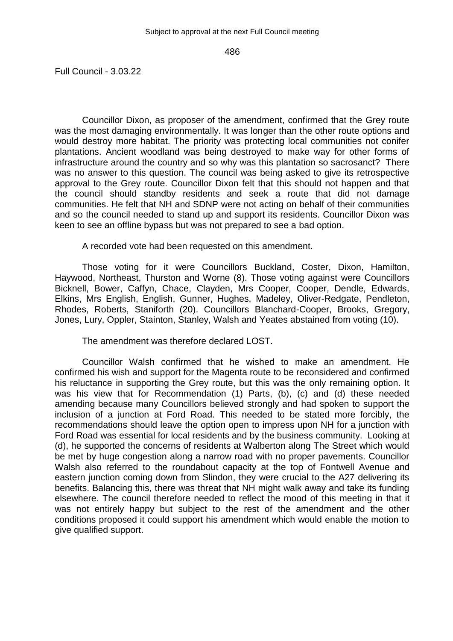Full Council - 3.03.22

Councillor Dixon, as proposer of the amendment, confirmed that the Grey route was the most damaging environmentally. It was longer than the other route options and would destroy more habitat. The priority was protecting local communities not conifer plantations. Ancient woodland was being destroyed to make way for other forms of infrastructure around the country and so why was this plantation so sacrosanct? There was no answer to this question. The council was being asked to give its retrospective approval to the Grey route. Councillor Dixon felt that this should not happen and that the council should standby residents and seek a route that did not damage communities. He felt that NH and SDNP were not acting on behalf of their communities and so the council needed to stand up and support its residents. Councillor Dixon was keen to see an offline bypass but was not prepared to see a bad option.

A recorded vote had been requested on this amendment.

Those voting for it were Councillors Buckland, Coster, Dixon, Hamilton, Haywood, Northeast, Thurston and Worne (8). Those voting against were Councillors Bicknell, Bower, Caffyn, Chace, Clayden, Mrs Cooper, Cooper, Dendle, Edwards, Elkins, Mrs English, English, Gunner, Hughes, Madeley, Oliver-Redgate, Pendleton, Rhodes, Roberts, Staniforth (20). Councillors Blanchard-Cooper, Brooks, Gregory, Jones, Lury, Oppler, Stainton, Stanley, Walsh and Yeates abstained from voting (10).

The amendment was therefore declared LOST.

Councillor Walsh confirmed that he wished to make an amendment. He confirmed his wish and support for the Magenta route to be reconsidered and confirmed his reluctance in supporting the Grey route, but this was the only remaining option. It was his view that for Recommendation (1) Parts, (b), (c) and (d) these needed amending because many Councillors believed strongly and had spoken to support the inclusion of a junction at Ford Road. This needed to be stated more forcibly, the recommendations should leave the option open to impress upon NH for a junction with Ford Road was essential for local residents and by the business community. Looking at (d), he supported the concerns of residents at Walberton along The Street which would be met by huge congestion along a narrow road with no proper pavements. Councillor Walsh also referred to the roundabout capacity at the top of Fontwell Avenue and eastern junction coming down from Slindon, they were crucial to the A27 delivering its benefits. Balancing this, there was threat that NH might walk away and take its funding elsewhere. The council therefore needed to reflect the mood of this meeting in that it was not entirely happy but subject to the rest of the amendment and the other conditions proposed it could support his amendment which would enable the motion to give qualified support.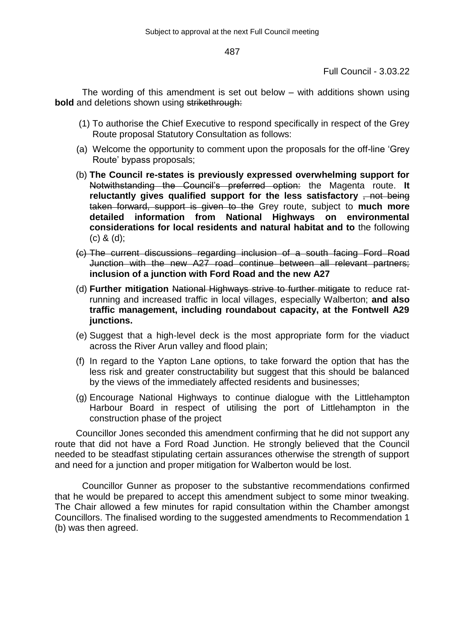Full Council - 3.03.22

The wording of this amendment is set out below – with additions shown using **bold** and deletions shown using strikethrough:

- (1) To authorise the Chief Executive to respond specifically in respect of the Grey Route proposal Statutory Consultation as follows:
- (a) Welcome the opportunity to comment upon the proposals for the off-line 'Grey Route' bypass proposals;
- (b) **The Council re-states is previously expressed overwhelming support for**  Notwithstanding the Council's preferred option: the Magenta route. **It**  reluctantly gives qualified support for the less satisfactory <del>, not being</del> taken forward, support is given to the Grey route, subject to **much more detailed information from National Highways on environmental considerations for local residents and natural habitat and to** the following (c) & (d);
- (c) The current discussions regarding inclusion of a south facing Ford Road Junction with the new A27 road continue between all relevant partners; **inclusion of a junction with Ford Road and the new A27**
- (d) **Further mitigation** National Highways strive to further mitigate to reduce ratrunning and increased traffic in local villages, especially Walberton; **and also traffic management, including roundabout capacity, at the Fontwell A29 junctions.**
- (e) Suggest that a high-level deck is the most appropriate form for the viaduct across the River Arun valley and flood plain;
- (f) In regard to the Yapton Lane options, to take forward the option that has the less risk and greater constructability but suggest that this should be balanced by the views of the immediately affected residents and businesses;
- (g) Encourage National Highways to continue dialogue with the Littlehampton Harbour Board in respect of utilising the port of Littlehampton in the construction phase of the project

Councillor Jones seconded this amendment confirming that he did not support any route that did not have a Ford Road Junction. He strongly believed that the Council needed to be steadfast stipulating certain assurances otherwise the strength of support and need for a junction and proper mitigation for Walberton would be lost.

Councillor Gunner as proposer to the substantive recommendations confirmed that he would be prepared to accept this amendment subject to some minor tweaking. The Chair allowed a few minutes for rapid consultation within the Chamber amongst Councillors. The finalised wording to the suggested amendments to Recommendation 1 (b) was then agreed.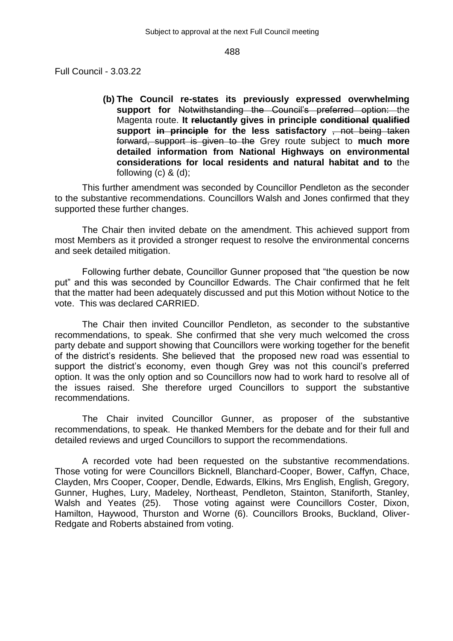Full Council - 3.03.22

**(b) The Council re-states its previously expressed overwhelming support for** Notwithstanding the Council's preferred option: the Magenta route. **It reluctantly gives in principle conditional qualified support in principle for the less satisfactory** , not being taken forward, support is given to the Grey route subject to **much more detailed information from National Highways on environmental considerations for local residents and natural habitat and to** the following  $(c)$  &  $(d)$ ;

This further amendment was seconded by Councillor Pendleton as the seconder to the substantive recommendations. Councillors Walsh and Jones confirmed that they supported these further changes.

The Chair then invited debate on the amendment. This achieved support from most Members as it provided a stronger request to resolve the environmental concerns and seek detailed mitigation.

Following further debate, Councillor Gunner proposed that "the question be now put" and this was seconded by Councillor Edwards. The Chair confirmed that he felt that the matter had been adequately discussed and put this Motion without Notice to the vote. This was declared CARRIED.

The Chair then invited Councillor Pendleton, as seconder to the substantive recommendations, to speak. She confirmed that she very much welcomed the cross party debate and support showing that Councillors were working together for the benefit of the district's residents. She believed that the proposed new road was essential to support the district's economy, even though Grey was not this council's preferred option. It was the only option and so Councillors now had to work hard to resolve all of the issues raised. She therefore urged Councillors to support the substantive recommendations.

The Chair invited Councillor Gunner, as proposer of the substantive recommendations, to speak. He thanked Members for the debate and for their full and detailed reviews and urged Councillors to support the recommendations.

A recorded vote had been requested on the substantive recommendations. Those voting for were Councillors Bicknell, Blanchard-Cooper, Bower, Caffyn, Chace, Clayden, Mrs Cooper, Cooper, Dendle, Edwards, Elkins, Mrs English, English, Gregory, Gunner, Hughes, Lury, Madeley, Northeast, Pendleton, Stainton, Staniforth, Stanley, Walsh and Yeates (25). Those voting against were Councillors Coster, Dixon, Hamilton, Haywood, Thurston and Worne (6). Councillors Brooks, Buckland, Oliver-Redgate and Roberts abstained from voting.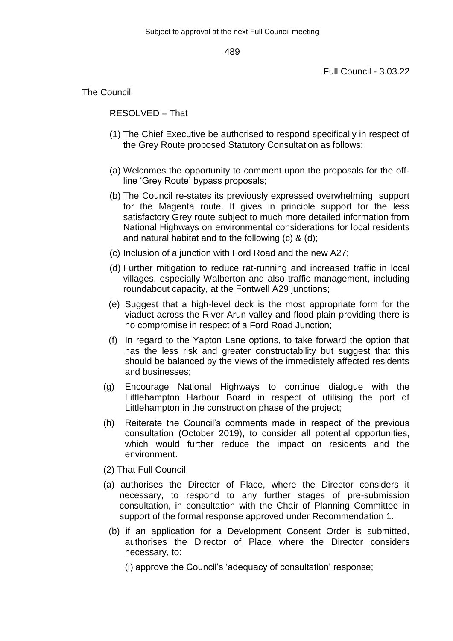Full Council - 3.03.22

The Council

RESOLVED – That

- (1) The Chief Executive be authorised to respond specifically in respect of the Grey Route proposed Statutory Consultation as follows:
- (a) Welcomes the opportunity to comment upon the proposals for the offline 'Grey Route' bypass proposals;
- (b) The Council re-states its previously expressed overwhelming support for the Magenta route. It gives in principle support for the less satisfactory Grey route subject to much more detailed information from National Highways on environmental considerations for local residents and natural habitat and to the following (c) & (d);
- (c) Inclusion of a junction with Ford Road and the new A27;
- (d) Further mitigation to reduce rat-running and increased traffic in local villages, especially Walberton and also traffic management, including roundabout capacity, at the Fontwell A29 junctions;
- (e) Suggest that a high-level deck is the most appropriate form for the viaduct across the River Arun valley and flood plain providing there is no compromise in respect of a Ford Road Junction;
- (f) In regard to the Yapton Lane options, to take forward the option that has the less risk and greater constructability but suggest that this should be balanced by the views of the immediately affected residents and businesses;
- (g) Encourage National Highways to continue dialogue with the Littlehampton Harbour Board in respect of utilising the port of Littlehampton in the construction phase of the project;
- (h) Reiterate the Council's comments made in respect of the previous consultation (October 2019), to consider all potential opportunities, which would further reduce the impact on residents and the environment.
- (2) That Full Council
- (a) authorises the Director of Place, where the Director considers it necessary, to respond to any further stages of pre-submission consultation, in consultation with the Chair of Planning Committee in support of the formal response approved under Recommendation 1.
	- (b) if an application for a Development Consent Order is submitted, authorises the Director of Place where the Director considers necessary, to:
		- (i) approve the Council's 'adequacy of consultation' response;